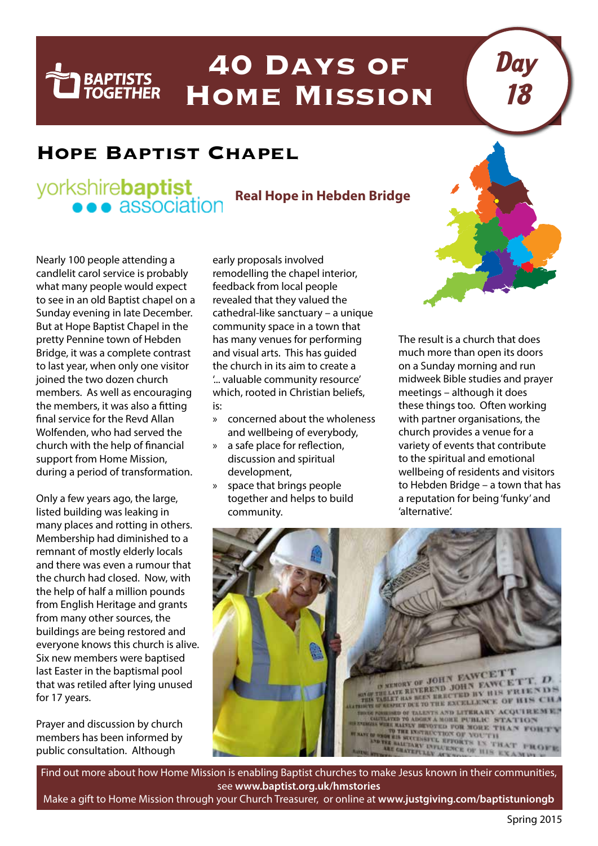## **40 Days of Home Mission**

## **Hope Baptist Chapel**

## yorkshire**baptist** • association

**BAPTISTS**<br>TOGETHER

**Real Hope in Hebden Bridge**

Nearly 100 people attending a candlelit carol service is probably what many people would expect to see in an old Baptist chapel on a Sunday evening in late December. But at Hope Baptist Chapel in the pretty Pennine town of Hebden Bridge, it was a complete contrast to last year, when only one visitor joined the two dozen church members. As well as encouraging the members, it was also a fitting final service for the Revd Allan Wolfenden, who had served the church with the help of financial support from Home Mission, during a period of transformation.

Only a few years ago, the large, listed building was leaking in many places and rotting in others. Membership had diminished to a remnant of mostly elderly locals and there was even a rumour that the church had closed. Now, with the help of half a million pounds from English Heritage and grants from many other sources, the buildings are being restored and everyone knows this church is alive. Six new members were baptised last Easter in the baptismal pool that was retiled after lying unused for 17 years.

Prayer and discussion by church members has been informed by public consultation. Although

early proposals involved remodelling the chapel interior, feedback from local people revealed that they valued the cathedral-like sanctuary – a unique community space in a town that has many venues for performing and visual arts. This has guided the church in its aim to create a '... valuable community resource' which, rooted in Christian beliefs, is:

- » concerned about the wholeness and wellbeing of everybody,
- » a safe place for reflection, discussion and spiritual development,
- space that brings people together and helps to build community.

The result is a church that does much more than open its doors on a Sunday morning and run midweek Bible studies and prayer meetings – although it does these things too. Often working with partner organisations, the church provides a venue for a variety of events that contribute to the spiritual and emotional wellbeing of residents and visitors to Hebden Bridge – a town that has a reputation for being 'funky' and 'alternative'.

Day

18



Find out more about how Home Mission is enabling Baptist churches to make Jesus known in their communities, see **www.baptist.org.uk/hmstories**

Make a gift to Home Mission through your Church Treasurer, or online at **www.justgiving.com/baptistuniongb**